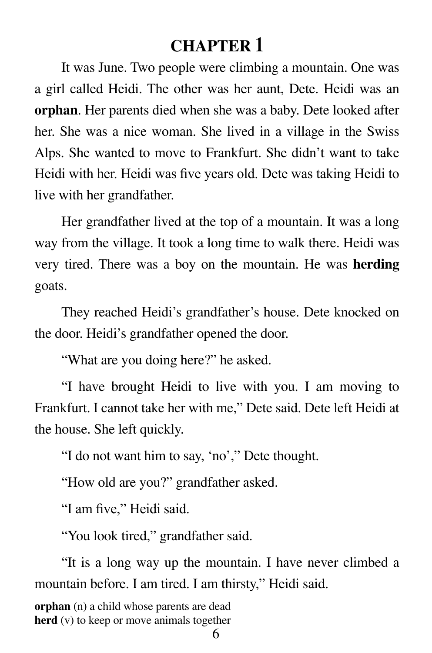### **CHAPTER 1**

It was June. Two people were climbing a mountain. One was a girl called Heidi. The other was her aunt, Dete. Heidi was an **orphan**. Her parents died when she was a baby. Dete looked after her. She was a nice woman. She lived in a village in the Swiss Alps. She wanted to move to Frankfurt. She didn't want to take Heidi with her. Heidi was five years old. Dete was taking Heidi to live with her grandfather.

Her grandfather lived at the top of a mountain. It was a long way from the village. It took a long time to walk there. Heidi was very tired. There was a boy on the mountain. He was **herding** goats.

They reached Heidi's grandfather's house. Dete knocked on the door. Heidi's grandfather opened the door.

"What are you doing here?" he asked.

"I have brought Heidi to live with you. I am moving to Frankfurt. I cannot take her with me," Dete said. Dete left Heidi at the house. She left quickly.

"I do not want him to say, 'no'," Dete thought.

"How old are you?" grandfather asked.

"I am five," Heidi said.

"You look tired," grandfather said.

"It is a long way up the mountain. I have never climbed a mountain before. I am tired. I am thirsty," Heidi said.

**orphan** (n) a child whose parents are dead **herd** (v) to keep or move animals together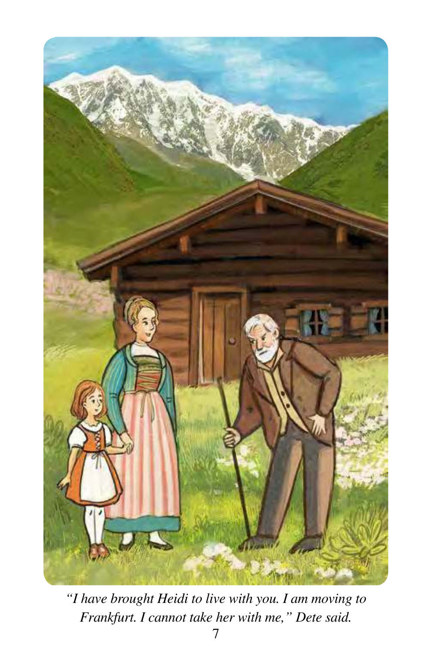

*"I have brought Heidi to live with you. I am moving to Frankfurt. I cannot take her with me," Dete said.*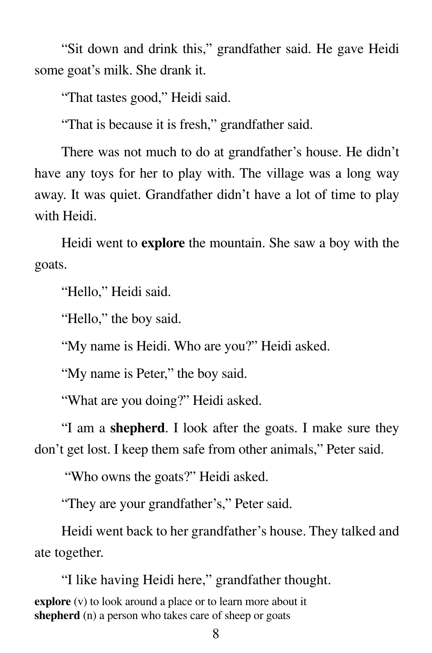"Sit down and drink this," grandfather said. He gave Heidi some goat's milk. She drank it.

"That tastes good," Heidi said.

"That is because it is fresh," grandfather said.

There was not much to do at grandfather's house. He didn't have any toys for her to play with. The village was a long way away. It was quiet. Grandfather didn't have a lot of time to play with Heidi.

Heidi went to **explore** the mountain. She saw a boy with the goats.

"Hello," Heidi said.

"Hello," the boy said.

"My name is Heidi. Who are you?" Heidi asked.

"My name is Peter," the boy said.

"What are you doing?" Heidi asked.

"I am a **shepherd**. I look after the goats. I make sure they don't get lost. I keep them safe from other animals," Peter said.

"Who owns the goats?" Heidi asked.

"They are your grandfather's," Peter said.

Heidi went back to her grandfather's house. They talked and ate together.

"I like having Heidi here," grandfather thought. **explore** (v) to look around a place or to learn more about it **shepherd** (n) a person who takes care of sheep or goats

8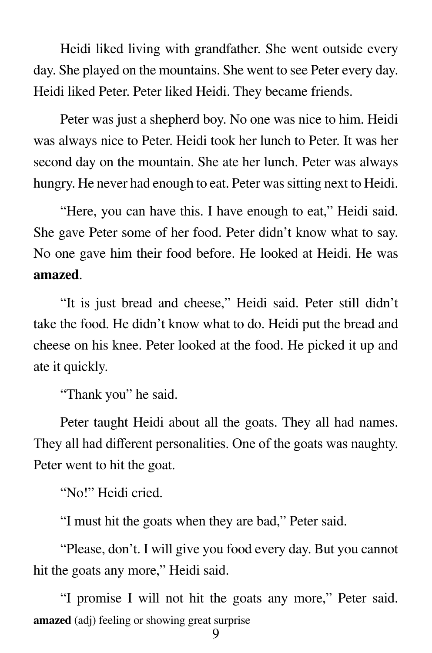Heidi liked living with grandfather. She went outside every day. She played on the mountains. She went to see Peter every day. Heidi liked Peter. Peter liked Heidi. They became friends.

Peter was just a shepherd boy. No one was nice to him. Heidi was always nice to Peter. Heidi took her lunch to Peter. It was her second day on the mountain. She ate her lunch. Peter was always hungry. He never had enough to eat. Peter was sitting next to Heidi.

"Here, you can have this. I have enough to eat," Heidi said. She gave Peter some of her food. Peter didn't know what to say. No one gave him their food before. He looked at Heidi. He was **amazed**.

"It is just bread and cheese," Heidi said. Peter still didn't take the food. He didn't know what to do. Heidi put the bread and cheese on his knee. Peter looked at the food. He picked it up and ate it quickly.

"Thank you" he said.

Peter taught Heidi about all the goats. They all had names. They all had different personalities. One of the goats was naughty. Peter went to hit the goat.

"No!" Heidi cried.

"I must hit the goats when they are bad," Peter said.

"Please, don't. I will give you food every day. But you cannot hit the goats any more," Heidi said.

"I promise I will not hit the goats any more," Peter said. **amazed** (adj) feeling or showing great surprise

9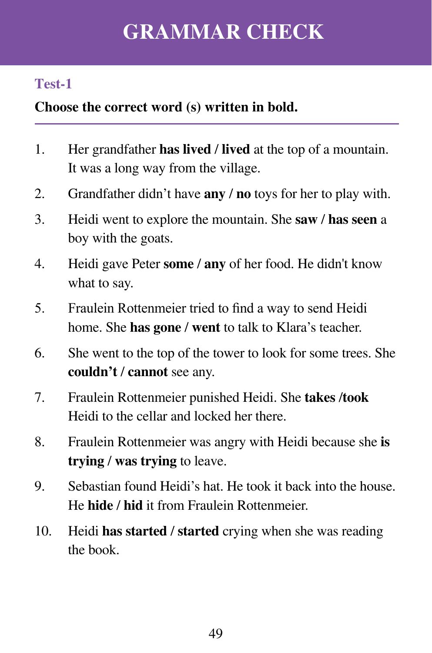## **GRAMMAR CHECK**

#### **Test-1**

#### **Choose the correct word (s) written in bold.**

- 1. Her grandfather **has lived** / **lived** at the top of a mountain. It was a long way from the village.
- 2. Grandfather didn't have **any** / **no** toys for her to play with.
- 3. Heidi went to explore the mountain. She **saw** / **has seen** a boy with the goats.
- 4. Heidi gave Peter **some** / **any** of her food. He didn't know what to say.
- 5. Fraulein Rottenmeier tried to find a way to send Heidi home. She **has gone** / **went** to talk to Klara's teacher.
- 6. She went to the top of the tower to look for some trees. She **couldn't** / **cannot** see any.
- 7. Fraulein Rottenmeier punished Heidi. She **takes** /**took** Heidi to the cellar and locked her there.
- 8. Fraulein Rottenmeier was angry with Heidi because she **is trying** / **was trying** to leave.
- 9. Sebastian found Heidi's hat. He took it back into the house. He **hide** / **hid** it from Fraulein Rottenmeier.
- 10. Heidi **has started** / **started** crying when she was reading the book.